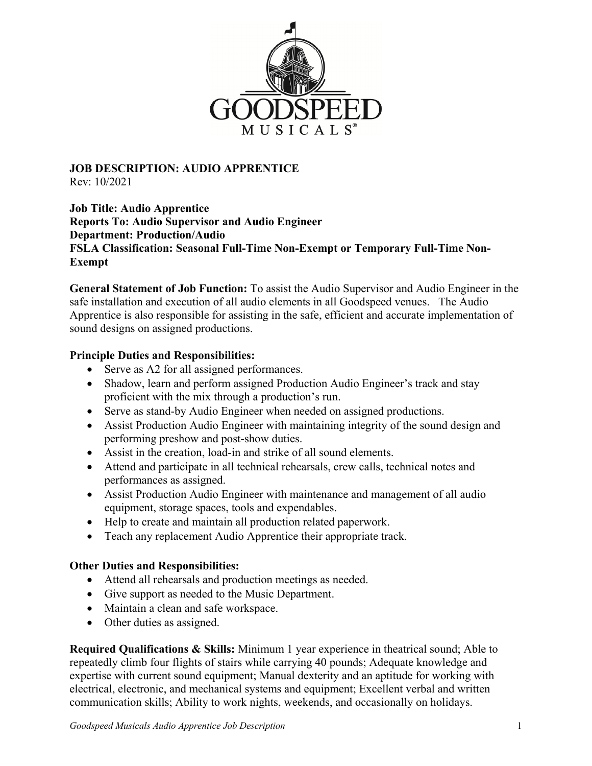

**JOB DESCRIPTION: AUDIO APPRENTICE**  Rev: 10/2021

**Job Title: Audio Apprentice Reports To: Audio Supervisor and Audio Engineer Department: Production/Audio FSLA Classification: Seasonal Full-Time Non-Exempt or Temporary Full-Time Non-Exempt** 

**General Statement of Job Function:** To assist the Audio Supervisor and Audio Engineer in the safe installation and execution of all audio elements in all Goodspeed venues. The Audio Apprentice is also responsible for assisting in the safe, efficient and accurate implementation of sound designs on assigned productions.

## **Principle Duties and Responsibilities:**

- Serve as A2 for all assigned performances.
- Shadow, learn and perform assigned Production Audio Engineer's track and stay proficient with the mix through a production's run.
- Serve as stand-by Audio Engineer when needed on assigned productions.
- Assist Production Audio Engineer with maintaining integrity of the sound design and performing preshow and post-show duties.
- Assist in the creation, load-in and strike of all sound elements.
- Attend and participate in all technical rehearsals, crew calls, technical notes and performances as assigned.
- Assist Production Audio Engineer with maintenance and management of all audio equipment, storage spaces, tools and expendables.
- Help to create and maintain all production related paperwork.
- Teach any replacement Audio Apprentice their appropriate track.

## **Other Duties and Responsibilities:**

- Attend all rehearsals and production meetings as needed.
- Give support as needed to the Music Department.
- Maintain a clean and safe workspace.
- Other duties as assigned.

**Required Qualifications & Skills:** Minimum 1 year experience in theatrical sound; Able to repeatedly climb four flights of stairs while carrying 40 pounds; Adequate knowledge and expertise with current sound equipment; Manual dexterity and an aptitude for working with electrical, electronic, and mechanical systems and equipment; Excellent verbal and written communication skills; Ability to work nights, weekends, and occasionally on holidays.